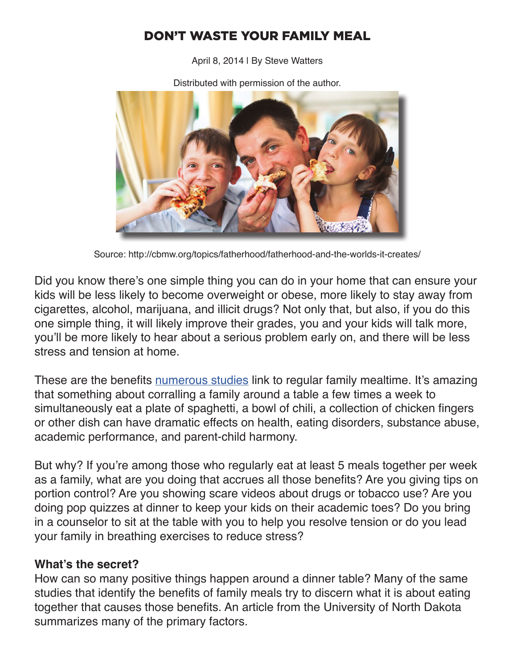## DON'T WASTE YOUR FAMILY MEAL

April 8, 2014 | By Steve Watters



Distributed with permission of the author.

Source: http://cbmw.org/topics/fatherhood/fatherhood-and-the-worlds-it-creates/

Did you know there's one simple thing you can do in your home that can ensure your kids will be less likely to become overweight or obese, more likely to stay away from cigarettes, alcohol, marijuana, and illicit drugs? Not only that, but also, if you do this one simple thing, it will likely improve their grades, you and your kids will talk more, you'll be more likely to hear about a serious problem early on, and there will be less stress and tension at home.

These are the benefits numerous studies link to regular family mealtime. It's amazing that something about corralling a family around a table a few times a week to simultaneously eat a plate of spaghetti, a bowl of chili, a collection of chicken fingers or other dish can have dramatic effects on health, eating disorders, substance abuse, academic performance, and parent-child harmony.

But why? If you're among those who regularly eat at least 5 meals together per week as a family, what are you doing that accrues all those benefits? Are you giving tips on portion control? Are you showing scare videos about drugs or tobacco use? Are you doing pop quizzes at dinner to keep your kids on their academic toes? Do you bring in a counselor to sit at the table with you to help you resolve tension or do you lead your family in breathing exercises to reduce stress?

## **What's the secret?**

How can so many positive things happen around a dinner table? Many of the same studies that identify the benefits of family meals try to discern what it is about eating together that causes those benefits. An article from the University of North Dakota summarizes many of the primary factors.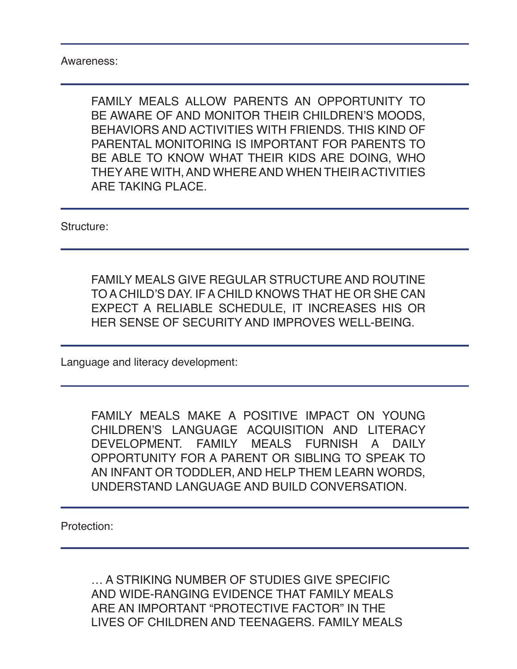Awareness:

FAMILY MEALS ALLOW PARENTS AN OPPORTUNITY TO BE AWARE OF AND MONITOR THEIR CHILDREN'S MOODS, BEHAVIORS AND ACTIVITIES WITH FRIENDS. THIS KIND OF PARENTAL MONITORING IS IMPORTANT FOR PARENTS TO BE ABLE TO KNOW WHAT THEIR KIDS ARE DOING, WHO THEY ARE WITH, AND WHERE AND WHEN THEIR ACTIVITIES ARE TAKING PLACE.

Structure:

FAMILY MEALS GIVE REGULAR STRUCTURE AND ROUTINE TO A CHILD'S DAY. IF A CHILD KNOWS THAT HE OR SHE CAN EXPECT A RELIABLE SCHEDULE, IT INCREASES HIS OR HER SENSE OF SECURITY AND IMPROVES WELL-BEING.

Language and literacy development:

FAMILY MEALS MAKE A POSITIVE IMPACT ON YOUNG CHILDREN'S LANGUAGE ACQUISITION AND LITERACY DEVELOPMENT. FAMILY MEALS FURNISH A DAILY OPPORTUNITY FOR A PARENT OR SIBLING TO SPEAK TO AN INFANT OR TODDLER, AND HELP THEM LEARN WORDS, UNDERSTAND LANGUAGE AND BUILD CONVERSATION.

Protection:

… A STRIKING NUMBER OF STUDIES GIVE SPECIFIC AND WIDE-RANGING EVIDENCE THAT FAMILY MEALS ARE AN IMPORTANT "PROTECTIVE FACTOR" IN THE LIVES OF CHILDREN AND TEENAGERS. FAMILY MEALS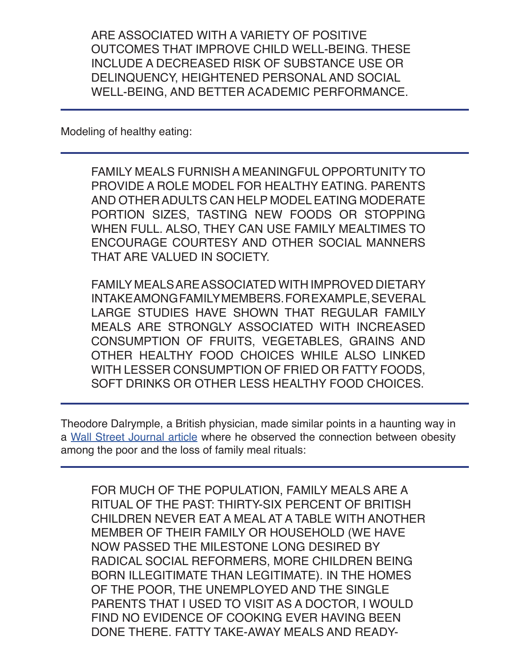ARE ASSOCIATED WITH A VARIETY OF POSITIVE OUTCOMES THAT IMPROVE CHILD WELL-BEING. THESE INCLUDE A DECREASED RISK OF SUBSTANCE USE OR DELINQUENCY, HEIGHTENED PERSONAL AND SOCIAL WELL-BEING, AND BETTER ACADEMIC PERFORMANCE.

Modeling of healthy eating:

FAMILY MEALS FURNISH A MEANINGFUL OPPORTUNITY TO PROVIDE A ROLE MODEL FOR HEALTHY EATING. PARENTS AND OTHER ADULTS CAN HELP MODEL EATING MODERATE PORTION SIZES, TASTING NEW FOODS OR STOPPING WHEN FULL. ALSO, THEY CAN USE FAMILY MEALTIMES TO ENCOURAGE COURTESY AND OTHER SOCIAL MANNERS THAT ARE VALUED IN SOCIETY.

FAMILY MEALS ARE ASSOCIATED WITH IMPROVED DIETARY INTAKE AMONG FAMILY MEMBERS. FOR EXAMPLE, SEVERAL LARGE STUDIES HAVE SHOWN THAT REGULAR FAMILY MEALS ARE STRONGLY ASSOCIATED WITH INCREASED CONSUMPTION OF FRUITS, VEGETABLES, GRAINS AND OTHER HEALTHY FOOD CHOICES WHILE ALSO LINKED WITH LESSER CONSUMPTION OF FRIED OR FATTY FOODS, SOFT DRINKS OR OTHER LESS HEALTHY FOOD CHOICES.

Theodore Dalrymple, a British physician, made similar points in a haunting way in a Wall Street Journal article where he observed the connection between obesity among the poor and the loss of family meal rituals:

FOR MUCH OF THE POPULATION, FAMILY MEALS ARE A RITUAL OF THE PAST: THIRTY-SIX PERCENT OF BRITISH CHILDREN NEVER EAT A MEAL AT A TABLE WITH ANOTHER MEMBER OF THEIR FAMILY OR HOUSEHOLD (WE HAVE NOW PASSED THE MILESTONE LONG DESIRED BY RADICAL SOCIAL REFORMERS, MORE CHILDREN BEING BORN ILLEGITIMATE THAN LEGITIMATE). IN THE HOMES OF THE POOR, THE UNEMPLOYED AND THE SINGLE PARENTS THAT I USED TO VISIT AS A DOCTOR, I WOULD FIND NO EVIDENCE OF COOKING EVER HAVING BEEN DONE THERE. FATTY TAKE-AWAY MEALS AND READY-